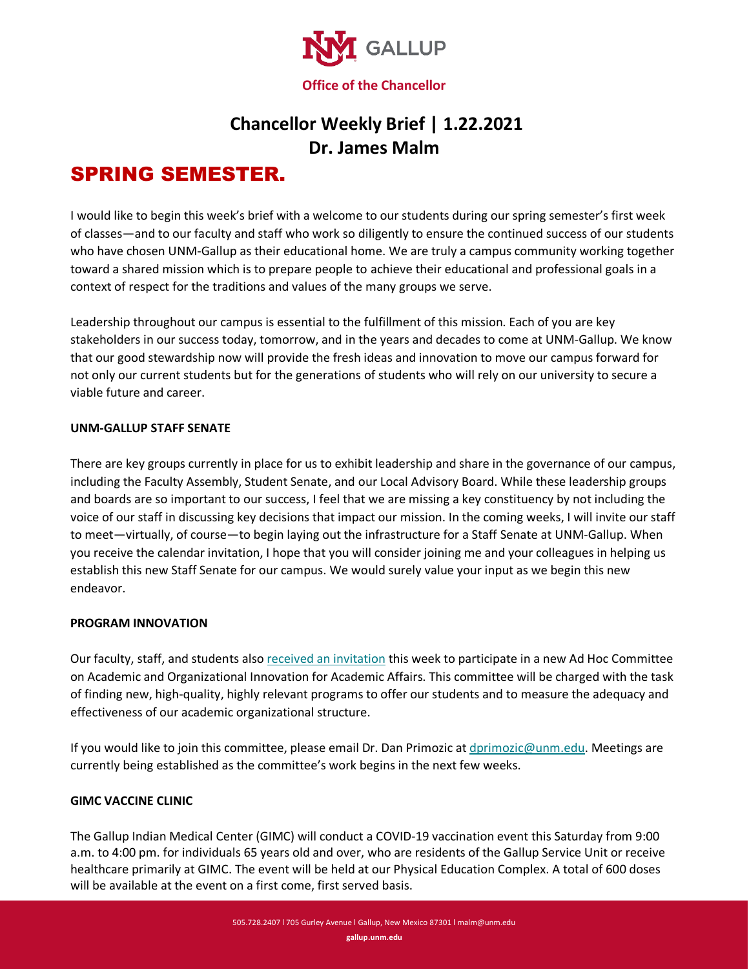

# **Chancellor Weekly Brief | 1.22.2021 Dr. James Malm**

# SPRING SEMESTER.

I would like to begin this week's brief with a welcome to our students during our spring semester's first week of classes—and to our faculty and staff who work so diligently to ensure the continued success of our students who have chosen UNM-Gallup as their educational home. We are truly a campus community working together toward a shared mission which is to prepare people to achieve their educational and professional goals in a context of respect for the traditions and values of the many groups we serve.

Leadership throughout our campus is essential to the fulfillment of this mission. Each of you are key stakeholders in our success today, tomorrow, and in the years and decades to come at UNM-Gallup. We know that our good stewardship now will provide the fresh ideas and innovation to move our campus forward for not only our current students but for the generations of students who will rely on our university to secure a viable future and career.

### **UNM-GALLUP STAFF SENATE**

There are key groups currently in place for us to exhibit leadership and share in the governance of our campus, including the Faculty Assembly, Student Senate, and our Local Advisory Board. While these leadership groups and boards are so important to our success, I feel that we are missing a key constituency by not including the voice of our staff in discussing key decisions that impact our mission. In the coming weeks, I will invite our staff to meet—virtually, of course—to begin laying out the infrastructure for a Staff Senate at UNM-Gallup. When you receive the calendar invitation, I hope that you will consider joining me and your colleagues in helping us establish this new Staff Senate for our campus. We would surely value your input as we begin this new endeavor.

### **PROGRAM INNOVATION**

Our faculty, staff, and students also [received an invitation](https://www.gallup.unm.edu/pdfs/Invitation-for-New-Programs-and-Organizational-Structure.pdf) this week to participate in a new Ad Hoc Committee on Academic and Organizational Innovation for Academic Affairs. This committee will be charged with the task of finding new, high-quality, highly relevant programs to offer our students and to measure the adequacy and effectiveness of our academic organizational structure.

If you would like to join this committee, please email Dr. Dan Primozic at [dprimozic@unm.edu.](mailto:dprimozic@unm.edu) Meetings are currently being established as the committee's work begins in the next few weeks.

## **GIMC VACCINE CLINIC**

The Gallup Indian Medical Center (GIMC) will conduct a COVID-19 vaccination event this Saturday from 9:00 a.m. to 4:00 pm. for individuals 65 years old and over, who are residents of the Gallup Service Unit or receive healthcare primarily at GIMC. The event will be held at our Physical Education Complex. A total of 600 doses will be available at the event on a first come, first served basis.